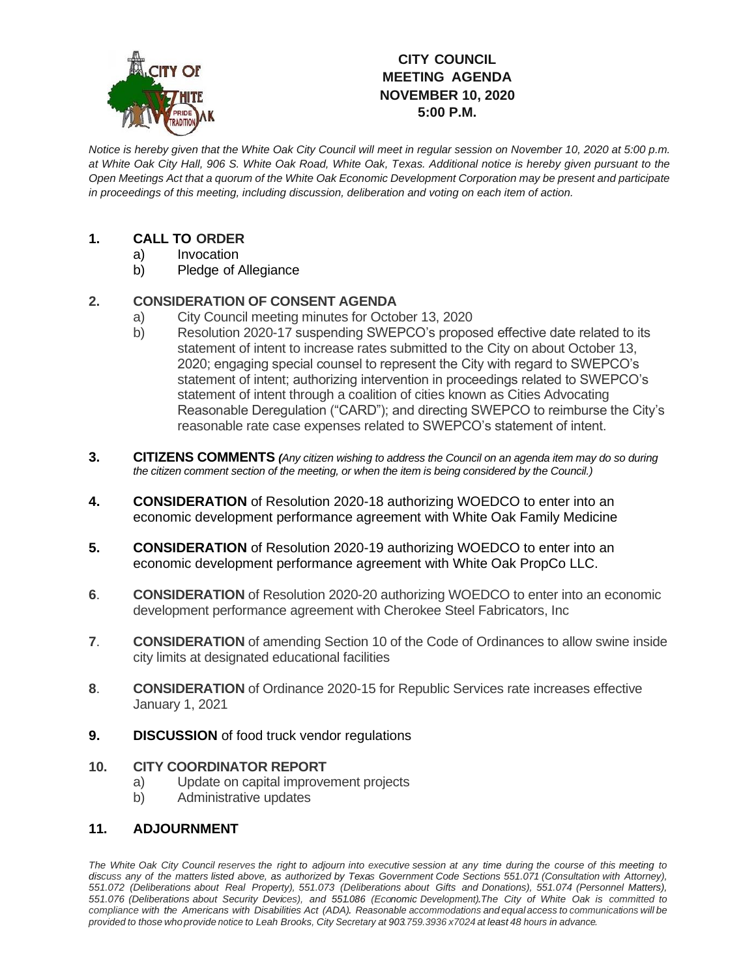

# **CITY COUNCIL MEETING AGENDA NOVEMBER 10, 2020 5:00 P.M.**

*Notice is hereby given that the White Oak City Council will meet in regular session on November 10, 2020 at 5:00 p.m. at White Oak City Hall, 906 S. White Oak Road, White Oak, Texas. Additional notice is hereby given pursuant to the Open Meetings Act that a quorum of the White Oak Economic Development Corporation may be present and participate in proceedings of this meeting, including discussion, deliberation and voting on each item of action.*

## **1. CALL TO ORDER**

- a) Invocation
- b) Pledge of Allegiance

## **2. CONSIDERATION OF CONSENT AGENDA**

- a) City Council meeting minutes for October 13, 2020
- b) Resolution 2020-17 suspending SWEPCO's proposed effective date related to its statement of intent to increase rates submitted to the City on about October 13, 2020; engaging special counsel to represent the City with regard to SWEPCO's statement of intent; authorizing intervention in proceedings related to SWEPCO's statement of intent through a coalition of cities known as Cities Advocating Reasonable Deregulation ("CARD"); and directing SWEPCO to reimburse the City's reasonable rate case expenses related to SWEPCO's statement of intent.
- **3. CITIZENS COMMENTS** *(Any citizen wishing to address the Council on an agenda item may do so during the citizen comment section of the meeting, or when the item is being considered by the Council.)*
- **4. CONSIDERATION** of Resolution 2020-18 authorizing WOEDCO to enter into an economic development performance agreement with White Oak Family Medicine
- **5. CONSIDERATION** of Resolution 2020-19 authorizing WOEDCO to enter into an economic development performance agreement with White Oak PropCo LLC.
- **6**. **CONSIDERATION** of Resolution 2020-20 authorizing WOEDCO to enter into an economic development performance agreement with Cherokee Steel Fabricators, Inc
- **7**. **CONSIDERATION** of amending Section 10 of the Code of Ordinances to allow swine inside city limits at designated educational facilities
- **8**. **CONSIDERATION** of Ordinance 2020-15 for Republic Services rate increases effective January 1, 2021
- **9. DISCUSSION** of food truck vendor regulations

### **10. CITY COORDINATOR REPORT**

- a) Update on capital improvement projects
- b) Administrative updates

### **11. ADJOURNMENT**

The White Oak City Council reserves the right to adjourn into executive session at any time during the course of this meeting to discuss any of the matters listed above, as authorized by Texas Government Code Sections 551.071 (Consultation with Attorney), *551.072 (Deliberations about Real Property), 551.073 (Deliberations about Gifts and Donations), 551.074 (Personnel Matters), 551.076 (Deliberations about Security Devices), and 551.086 (Economic Development).The City of White Oak is committed to* compliance with the Americans with Disabilities Act (ADA). Reasonable accommodations and equal access to communications will be provided to those who provide notice to Leah Brooks, City Secretary at 903.759.3936 x7024 at least 48 hours in advance.